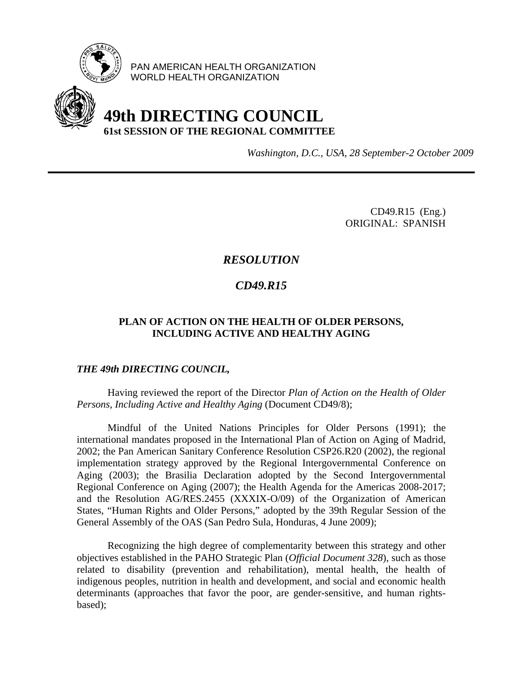

PAN AMERICAN HEALTH ORGANIZATION WORLD HEALTH ORGANIZATION



# **49th DIRECTING COUNCIL 61st SESSION OF THE REGIONAL COMMITTEE**

*Washington, D.C., USA, 28 September-2 October 2009*

CD49.R15 (Eng.) ORIGINAL: SPANISH

## *RESOLUTION*

## *CD49.R15*

### **PLAN OF ACTION ON THE HEALTH OF OLDER PERSONS, INCLUDING ACTIVE AND HEALTHY AGING**

#### *THE 49th DIRECTING COUNCIL,*

 Having reviewed the report of the Director *Plan of Action on the Health of Older Persons, Including Active and Healthy Aging* (Document CD49/8);

Mindful of the United Nations Principles for Older Persons (1991); the international mandates proposed in the International Plan of Action on Aging of Madrid, 2002; the Pan American Sanitary Conference Resolution CSP26.R20 (2002), the regional implementation strategy approved by the Regional Intergovernmental Conference on Aging (2003); the Brasilia Declaration adopted by the Second Intergovernmental Regional Conference on Aging (2007); the Health Agenda for the Americas 2008-2017; and the Resolution AG/RES.2455 (XXXIX-O/09) of the Organization of American States, "Human Rights and Older Persons," adopted by the 39th Regular Session of the General Assembly of the OAS (San Pedro Sula, Honduras, 4 June 2009);

 Recognizing the high degree of complementarity between this strategy and other objectives established in the PAHO Strategic Plan (*Official Document 328*), such as those related to disability (prevention and rehabilitation), mental health, the health of indigenous peoples, nutrition in health and development, and social and economic health determinants (approaches that favor the poor, are gender-sensitive, and human rightsbased);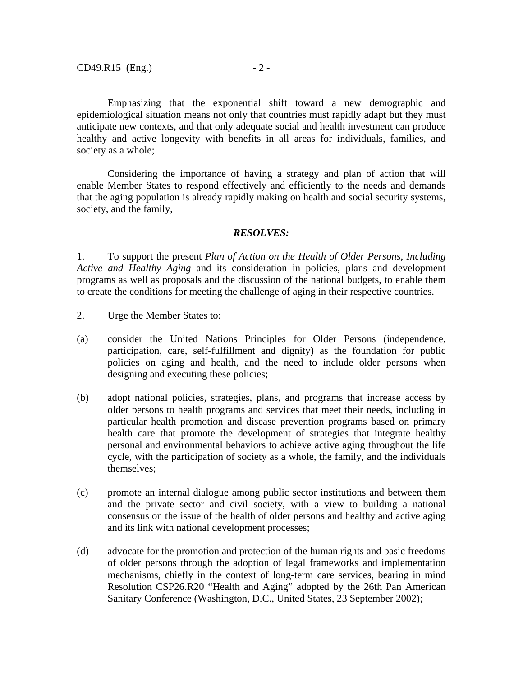Emphasizing that the exponential shift toward a new demographic and epidemiological situation means not only that countries must rapidly adapt but they must anticipate new contexts, and that only adequate social and health investment can produce healthy and active longevity with benefits in all areas for individuals, families, and society as a whole;

 Considering the importance of having a strategy and plan of action that will enable Member States to respond effectively and efficiently to the needs and demands that the aging population is already rapidly making on health and social security systems, society, and the family,

#### *RESOLVES:*

1. To support the present *Plan of Action on the Health of Older Persons, Including Active and Healthy Aging* and its consideration in policies, plans and development programs as well as proposals and the discussion of the national budgets, to enable them to create the conditions for meeting the challenge of aging in their respective countries.

- 2. Urge the Member States to:
- (a) consider the United Nations Principles for Older Persons (independence, participation, care, self-fulfillment and dignity) as the foundation for public policies on aging and health, and the need to include older persons when designing and executing these policies;
- (b) adopt national policies, strategies, plans, and programs that increase access by older persons to health programs and services that meet their needs, including in particular health promotion and disease prevention programs based on primary health care that promote the development of strategies that integrate healthy personal and environmental behaviors to achieve active aging throughout the life cycle, with the participation of society as a whole, the family, and the individuals themselves;
- (c) promote an internal dialogue among public sector institutions and between them and the private sector and civil society, with a view to building a national consensus on the issue of the health of older persons and healthy and active aging and its link with national development processes;
- (d) advocate for the promotion and protection of the human rights and basic freedoms of older persons through the adoption of legal frameworks and implementation mechanisms, chiefly in the context of long-term care services, bearing in mind Resolution CSP26.R20 "Health and Aging" adopted by the 26th Pan American Sanitary Conference (Washington, D.C., United States, 23 September 2002);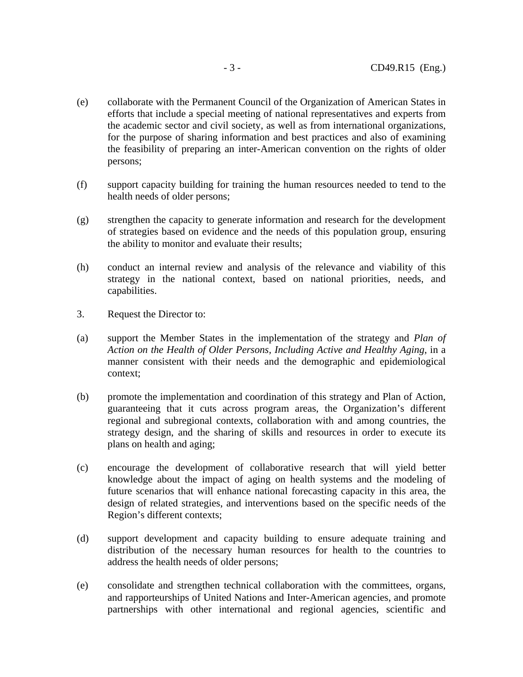- (e) collaborate with the Permanent Council of the Organization of American States in efforts that include a special meeting of national representatives and experts from the academic sector and civil society, as well as from international organizations, for the purpose of sharing information and best practices and also of examining the feasibility of preparing an inter-American convention on the rights of older persons;
- (f) support capacity building for training the human resources needed to tend to the health needs of older persons;
- (g) strengthen the capacity to generate information and research for the development of strategies based on evidence and the needs of this population group, ensuring the ability to monitor and evaluate their results;
- (h) conduct an internal review and analysis of the relevance and viability of this strategy in the national context, based on national priorities, needs, and capabilities.
- 3. Request the Director to:
- (a) support the Member States in the implementation of the strategy and *Plan of Action on the Health of Older Persons, Including Active and Healthy Aging*, in a manner consistent with their needs and the demographic and epidemiological context;
- (b) promote the implementation and coordination of this strategy and Plan of Action, guaranteeing that it cuts across program areas, the Organization's different regional and subregional contexts, collaboration with and among countries, the strategy design, and the sharing of skills and resources in order to execute its plans on health and aging;
- (c) encourage the development of collaborative research that will yield better knowledge about the impact of aging on health systems and the modeling of future scenarios that will enhance national forecasting capacity in this area, the design of related strategies, and interventions based on the specific needs of the Region's different contexts;
- (d) support development and capacity building to ensure adequate training and distribution of the necessary human resources for health to the countries to address the health needs of older persons;
- (e) consolidate and strengthen technical collaboration with the committees, organs, and rapporteurships of United Nations and Inter-American agencies, and promote partnerships with other international and regional agencies, scientific and